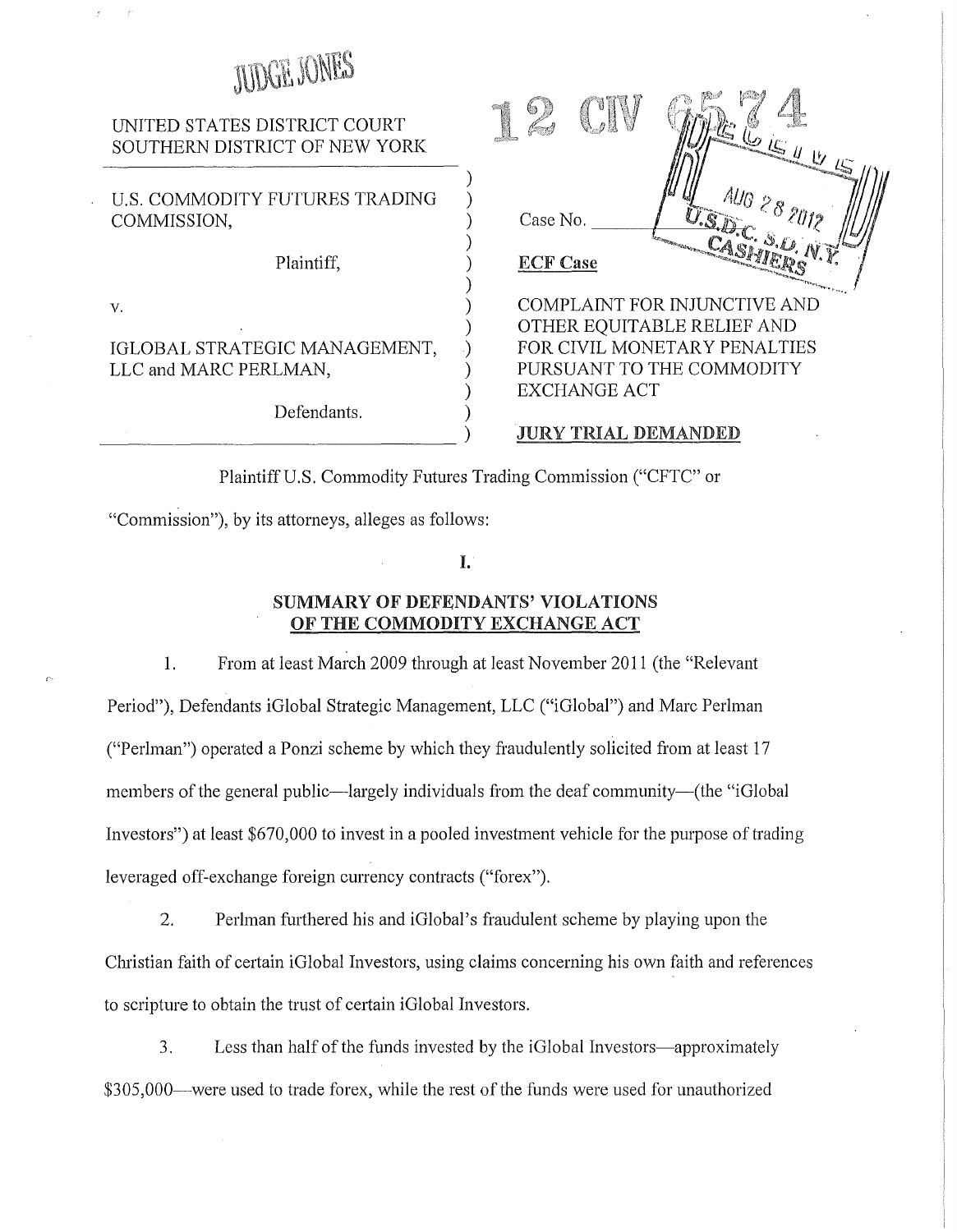# JUDGE JONES

# UNITED STATES DISTRICT COURT SOUTHERN DISTRICT OF NEW YORK

U.S. COMMODITY FUTURES TRADING COMMISSION,

Plaintiff, )

 $v.$  )

IGLOBAL STRATEGIC MANAGEMENT, LLC and MARC PERLMAN,

Defendants.  $\frac{1}{2}$ 

| Case No.        | AU0 28 2012<br>J.S.D.C. S.O. |
|-----------------|------------------------------|
| <b>ECF Case</b> |                              |
|                 | COMPLAINT FOR INJUNCTIVE AND |
|                 | OTHER EQUITABLE RELIEF AND   |
|                 | FOR CIVIL MONETARY PENALTIES |
|                 | PURSUANT TO THE COMMODITY    |

## JURY TRIAL DEMANDED

EXCHANGE ACT

Plaintiff U.S. Commodity Futures Trading Commission ("CFTC" or

)

)

)

)

)

"Commission"), by its attorneys, alleges as follows:

I.

# SUMMARY OF DEFENDANTS' VIOLATIONS OF THE COMMODITY EXCHANGE ACT

1. From at least March 2009 through at least November 2011 (the "Relevant Period"), Defendants iGlobal Strategic Management, LLC (''iGlobal") and Marc Perlman ("Perlman") operated a Ponzi scheme by which they fraudulently solicited from at least 17 members of the general public—largely individuals from the deaf community—(the "iGlobal Investors") at least \$670,000 to invest in a pooled investment vehicle for the purpose of trading leveraged off-exchange foreign currency contracts ("forex").

2. Perlman furthered his and iGlobal's fraudulent scheme by playing upon the Christian faith of certain iGlobal Investors, using claims concerning his own faith and references to scripture to obtain the trust of certain iGlobal Investors.

3. Less than half of the funds invested by the iGlobal Investors-approximately \$305,000—were used to trade forex, while the rest of the funds were used for unauthorized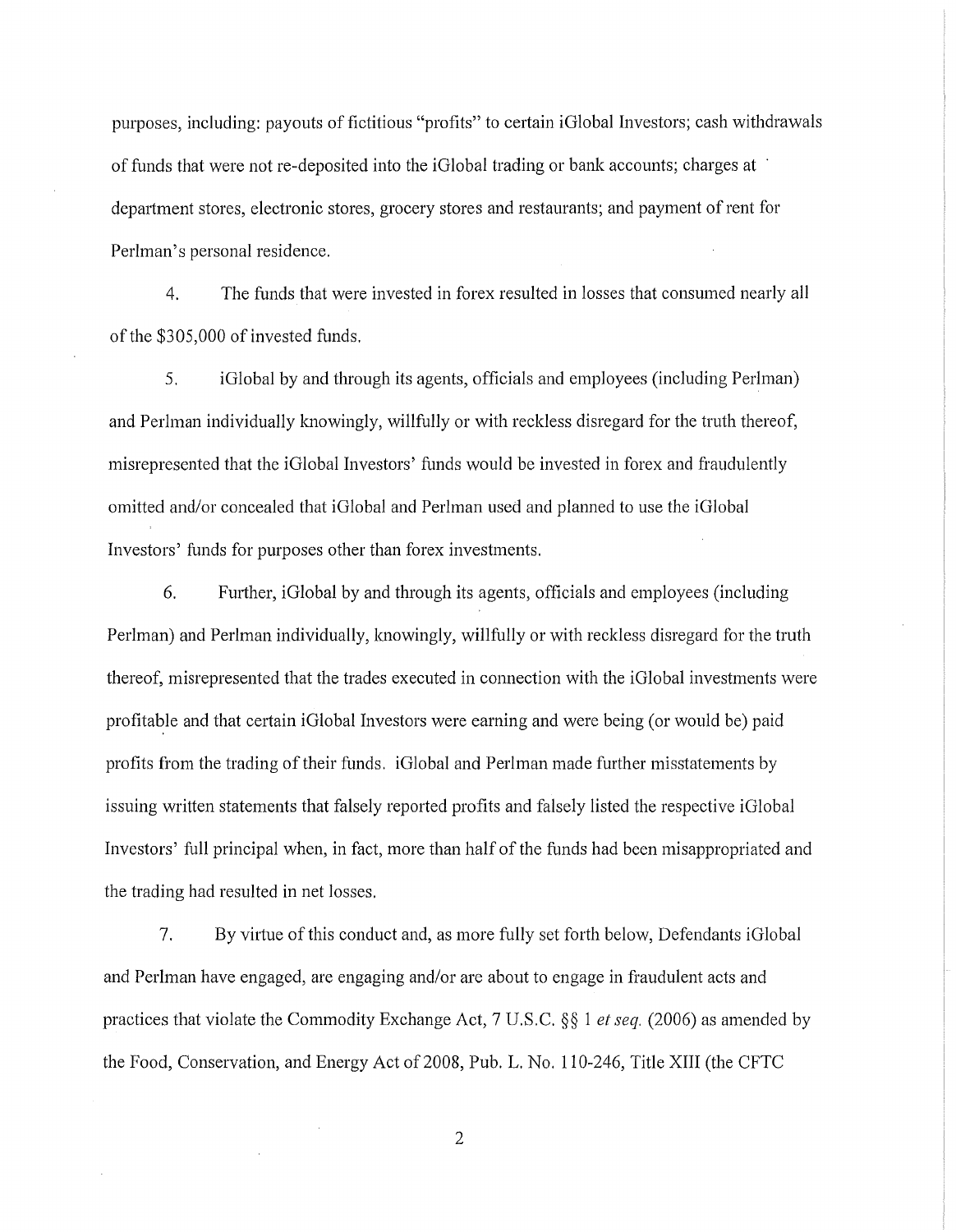purposes, including: payouts of fictitious "profits" to certain i Global Investors; cash withdrawals of funds that were not re-deposited into the iGlobal trading or bank accounts; charges at · department stores, electronic stores, grocery stores and restaurants; and payment of rent for Perlman's personal residence.

4. The funds that were invested in forex resulted in losses that consumed nearly all of the \$305,000 of invested funds.

5. iGlobal by and through its agents, officials and employees (including Perlman) and Perlman individually knowingly, willfully or with reckless disregard for the truth thereof, misrepresented that the iGlobal Investors' funds would be invested in forex and fraudulently omitted and/or concealed that iGlobal and Perlman used and planned to use the iGlobal Investors' funds for purposes other than forex investments.

6. Further, iGlobal by and through its agents, officials and employees (including Perlman) and Perlman individually, knowingly, willfully or with reckless disregard for the truth thereof, misrepresented that the trades executed in connection with the iGlobal investments were profitable and that certain iGlobal Investors were earning and were being (or would be) paid profits from the trading of their funds. iGlobal and Perlman made further misstatements by issuing written statements that falsely reported profits and falsely listed the respective iGlobal Investors' full principal when, in fact, more than half of the funds had been misappropriated and the trading had resulted in net losses.

7. By virtue of this conduct and, as more fully set forth below, Defendants iGlobal and Perlman have engaged, are engaging and/or are about to engage in fraudulent acts and practices that violate the Commodity Exchange Act, 7 U.S.C. *§§* 1 *et seq.* (2006) as amended by the Food, Conservation, and Energy Act of 2008, Pub. L. No. 110-246, Title XIII (the CFTC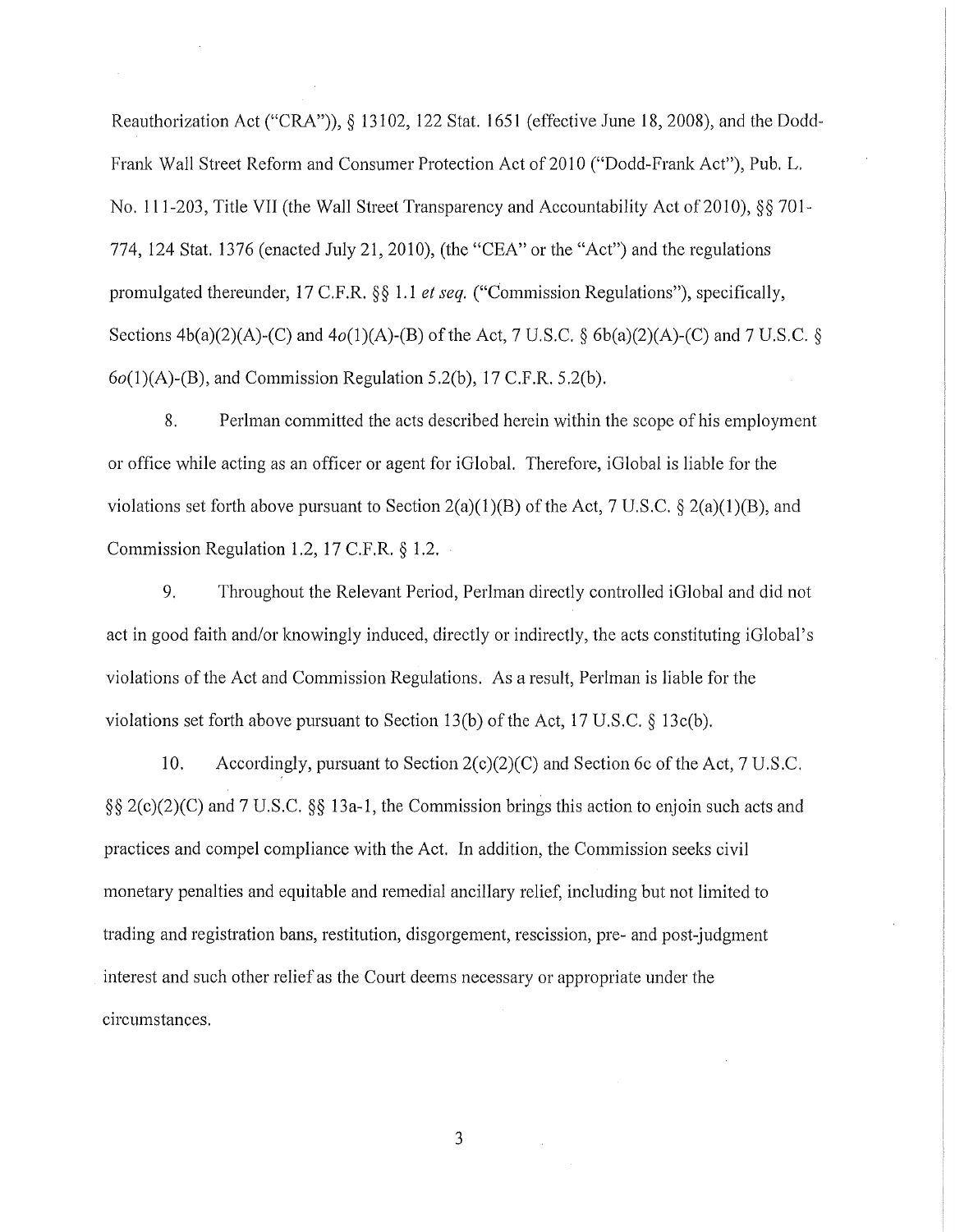Reauthorization Act ("CRA")), § 13102, 122 Stat. 1651 (effective June 18, 2008), and the Dodd-Frank Wall Street Reform and Consumer Protection Act of 2010 ("Dodd-Frank Act"), Pub. L. No. 111-203, Title VII (the Wall Street Transparency and Accountability Act of 2010), §§ 701-774, 124 Stat. 1376 (enacted July 21, 2010), (the "CEA" or the "Act") and the regulations promulgated thereunder, 17 C.F.R. §§ 1.1 *et seq.* ("Commission Regulations"), specifically, Sections  $4b(a)(2)(A)-(C)$  and  $4o(1)(A)-(B)$  of the Act, 7 U.S.C. §  $6b(a)(2)(A)-(C)$  and 7 U.S.C. §  $6o(1)(A)$ -(B), and Commission Regulation 5.2(b), 17 C.F.R. 5.2(b).

8. Perlman committed the acts described herein within the scope of his employment or office while acting as an officer or agent for iGlobal. Therefore, iGlobal is liable for the violations set forth above pursuant to Section 2(a)(1)(B) of the Act, 7 U.S.C. § 2(a)(1)(B), and Commission Regulation 1.2, 17 C.F.R. *§* 1.2.

9. Throughout the Relevant Period, Perlman directly controlled iGlobal and did not act in good faith and/or knowingly induced, directly or indirectly, the acts constituting iGlobal's violations of the Act and Commission Regulations. As a result, Perlman is liable for the violations set forth above pursuant to Section 13(b) of the Act, 17 U.S.C. § 13c(b).

10. Accordingly, pursuant to Section  $2(c)(2)(C)$  and Section 6c of the Act, 7 U.S.C. §§ 2(c)(2)(C) and 7 U.S.C. §§ 13a-1, the Commission brings this action to enjoin such acts and practices and compel compliance with the Act. In addition, the Commission seeks civil monetary penalties and equitable and remedial ancillary relief, including but not limited to trading and registration bans, restitution, disgorgement, rescission, pre- and post-judgment interest and such other relief as the Court deems necessary or appropriate under the circumstances.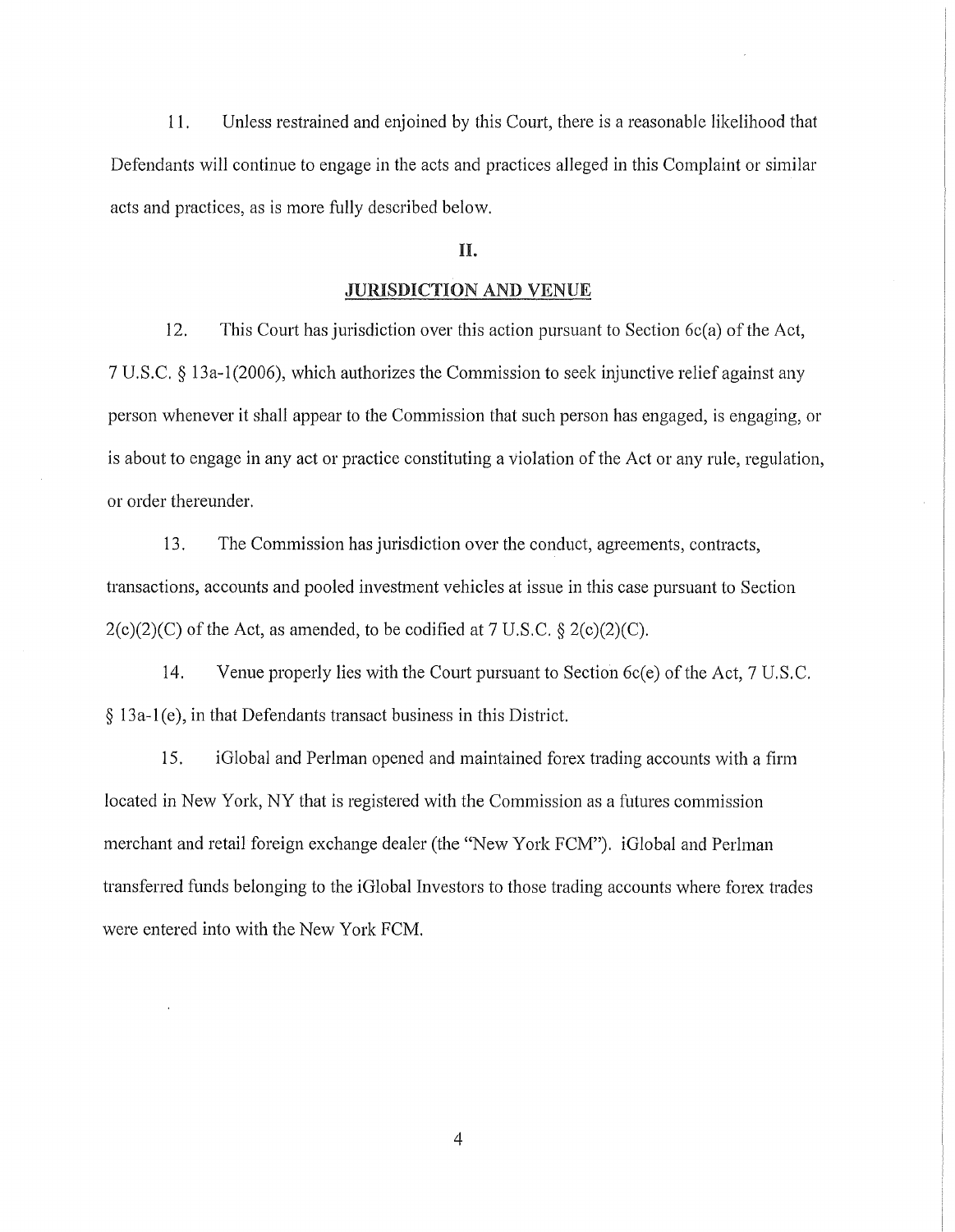11. Unless restrained and enjoined by this Court, there is a reasonable likelihood that Defendants will continue to engage in the acts and practices alleged in this Complaint or similar acts and practices, as is more fully described below.

## n.

#### JURISDICTION AND VENUE

12. This Court has jurisdiction over this action pursuant to Section  $6c(a)$  of the Act, 7 U.S.C. *§* 13a-1 (2006), which authorizes the Commission to seek injunctive relief against any person whenever it shall appear to the Commission that such person has engaged, is engaging, or is about to engage in any act or practice constituting a violation of the Act or any rule, regulation, or order thereunder.

13. The Commission has jurisdiction over the conduct, agreements, contracts, transactions, accounts and pooled investment vehicles at issue in this case pursuant to Section 2(c)(2)(C) of the Act, as amended, to be codified at 7 U.S.C. *§* 2(c)(2)(C).

14. Venue properly lies with the Court pursuant to Section 6c(e) of the Act, 7 U.S. C. § 13a-1 (e), in that Defendants transact business in this District.

15. iGlobal and Perlman opened and maintained forex trading accounts with a firm located in New York, NY that is registered with the Commission as a futures commission merchant and retail foreign exchange dealer (the "New York FCM"). iGlobal and Perlman transferred funds belonging to the iGlobal Investors to those trading accounts where forex trades were entered into with the New York FCM.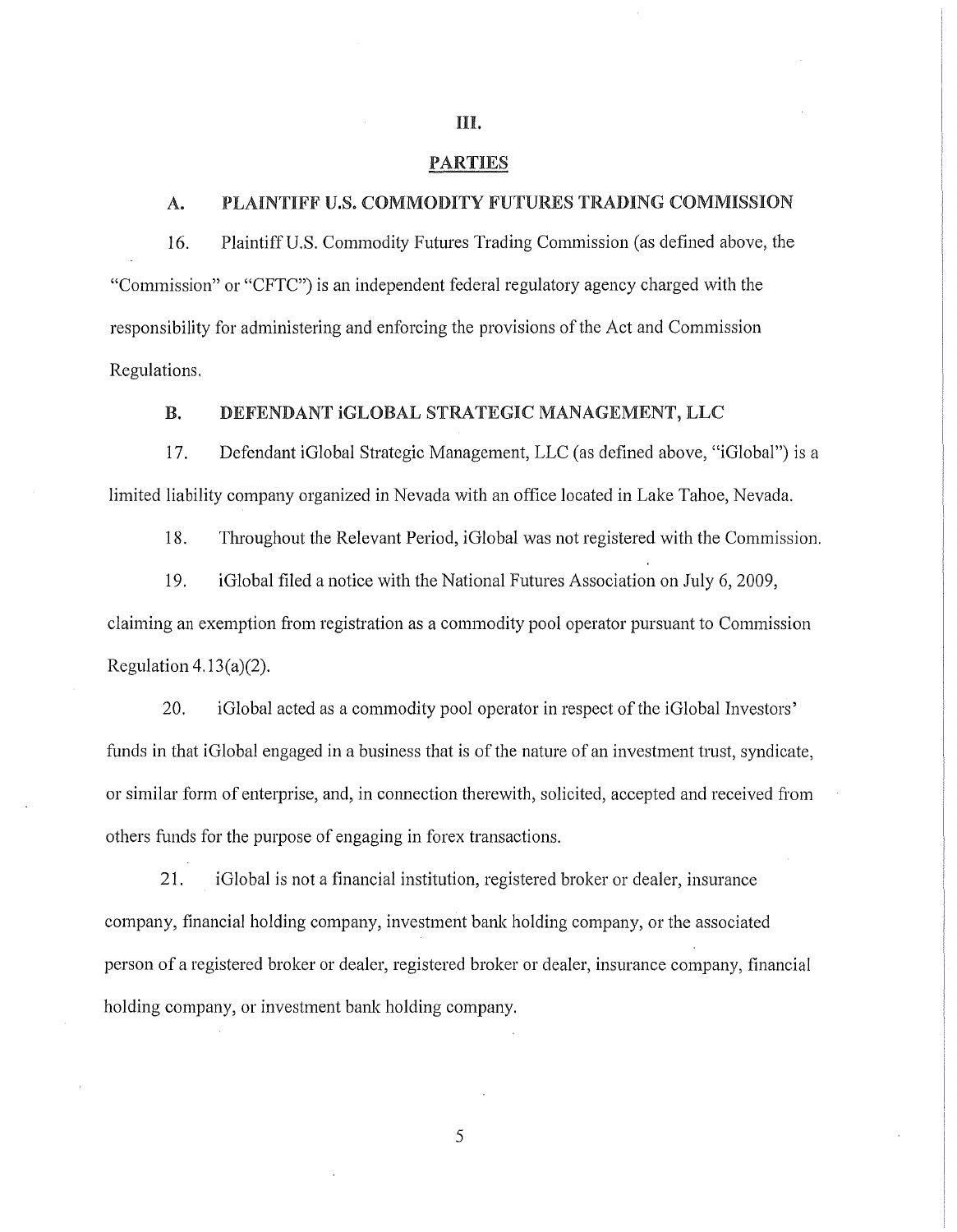#### PARTIES

## A. PLAINTIFF U.S. COMMODITY FUTURES TRADING COMMISSION

16. Plaintiff U.S. Commodity Futures Trading Commission (as defined above, the "Commission" or "CFTC") is an independent federal regulatory agency charged with the responsibility for administering and enforcing the provisions of the Act and Commission Regulations.

## B. DEFENDANT iGLOBAL STRATEGIC MANAGEMENT, LLC

17. Defendant iGlobal Strategic Management, LLC (as defined above, "iGlobal") is a limited liability company organized in Nevada with an office located in Lake Tahoe, Nevada.

18. Throughout the Relevant Period, i Global was not registered with the Commission.

19. iGlobal filed a notice with the National Futures Association on July 6, 2009, claiming an exemption from registration as a commodity pool operator pursuant to Commission Regulation  $4.13(a)(2)$ .

20. iGlobal acted as a commodity pool operator in respect of the iGlobal Investors' funds in that i Global engaged in a business that is of the nature of an investment trust, syndicate, or similar form of enterprise, and, in connection therewith, solicited, accepted and received from others funds for the purpose of engaging in forex transactions.

21. iGlobal is not a financial institution, registered broker or dealer, insurance company, financial holding company, investment bank holding company, or the associated person of a registered broker or dealer, registered broker or dealer, insurance company, financial holding company, or investment bank holding company.

5

#### HI.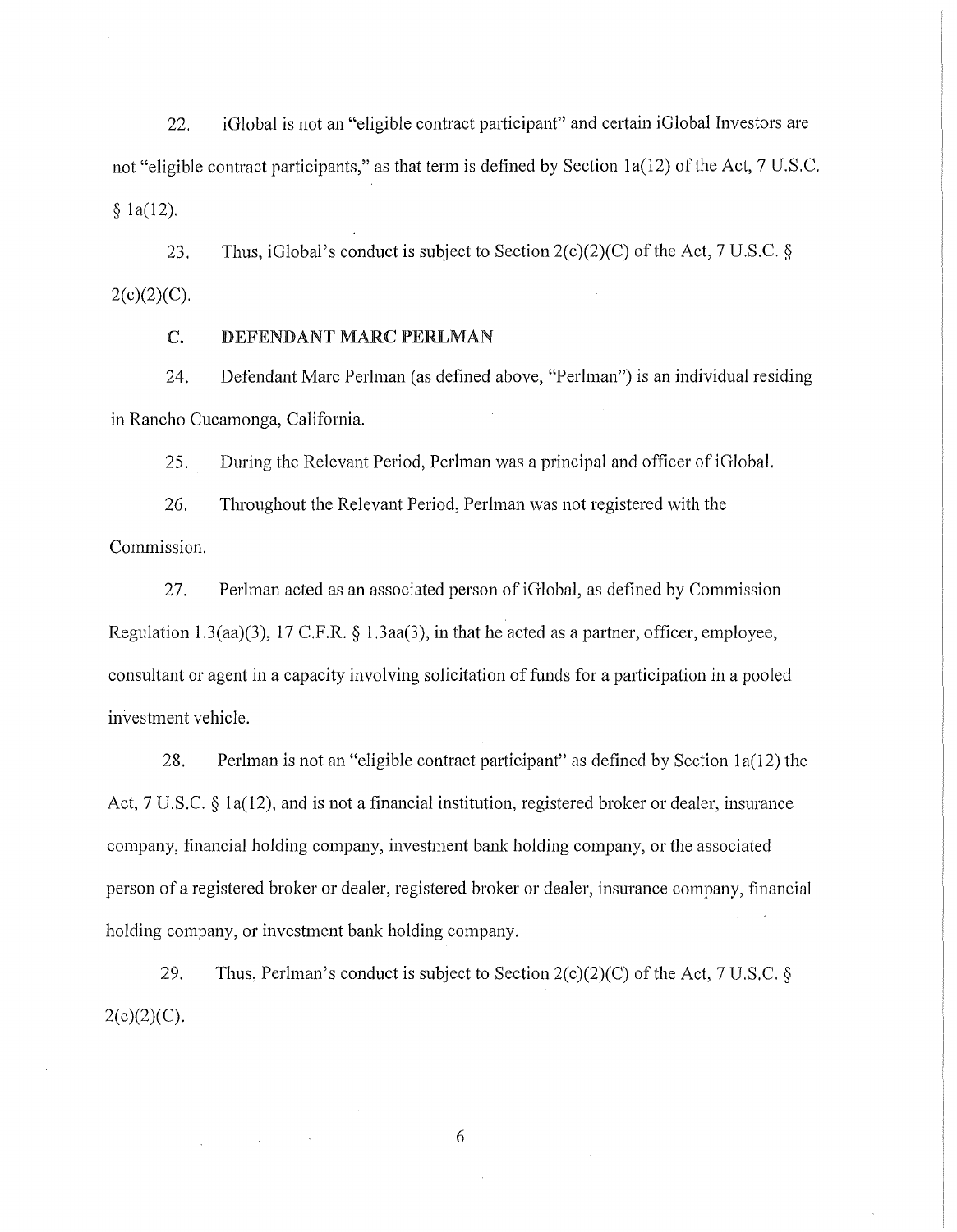$22.$  iGlobal is not an "eligible contract participant" and certain iGlobal Investors are not "eligible contract participants," as that term is defined by Section 1a(12) of the Act, 7 U.S.C. § la(l2).

23. Thus, iGlobal's conduct is subject to Section  $2(c)(2)(C)$  of the Act, 7 U.S.C. §  $2(c)(2)(C)$ .

### C. DEFENDANT MARC PERLMAN

24. Defendant Marc Perlman (as defined above, "Perlman") is an individual residing in Rancho Cucamonga, California.

25. During the Relevant Period, Perlman was a principal and officer of iGlobal.

26. Throughout the Relevant Period, Perlman was not registered with the Commission.

27. Perlman acted as an associated person of iGlobal, as defined by Commission Regulation 1.3(aa)(3), 17 C.P.R. § 1.3aa(3), in that he acted as a partner, officer, employee, consultant or agent in a capacity involving solicitation of funds for a participation in a pooled investment vehicle.

28. Perlman is not an "eligible contract participant" as defined by Section la(l2) the Act, 7 U.S.C. § la(12), and is not a financial institution, registered broker or dealer, insurance company, financial holding company, investment bank holding company, or the associated person of a registered broker or dealer, registered broker or dealer, insurance company, financial holding company, or investment bank holding company.

29. Thus, Perlman's conduct is subject to Section 2(c)(2)(C) of the Act, 7 U.S.C. §  $2(c)(2)(C)$ .

6

 $\mathcal{A}$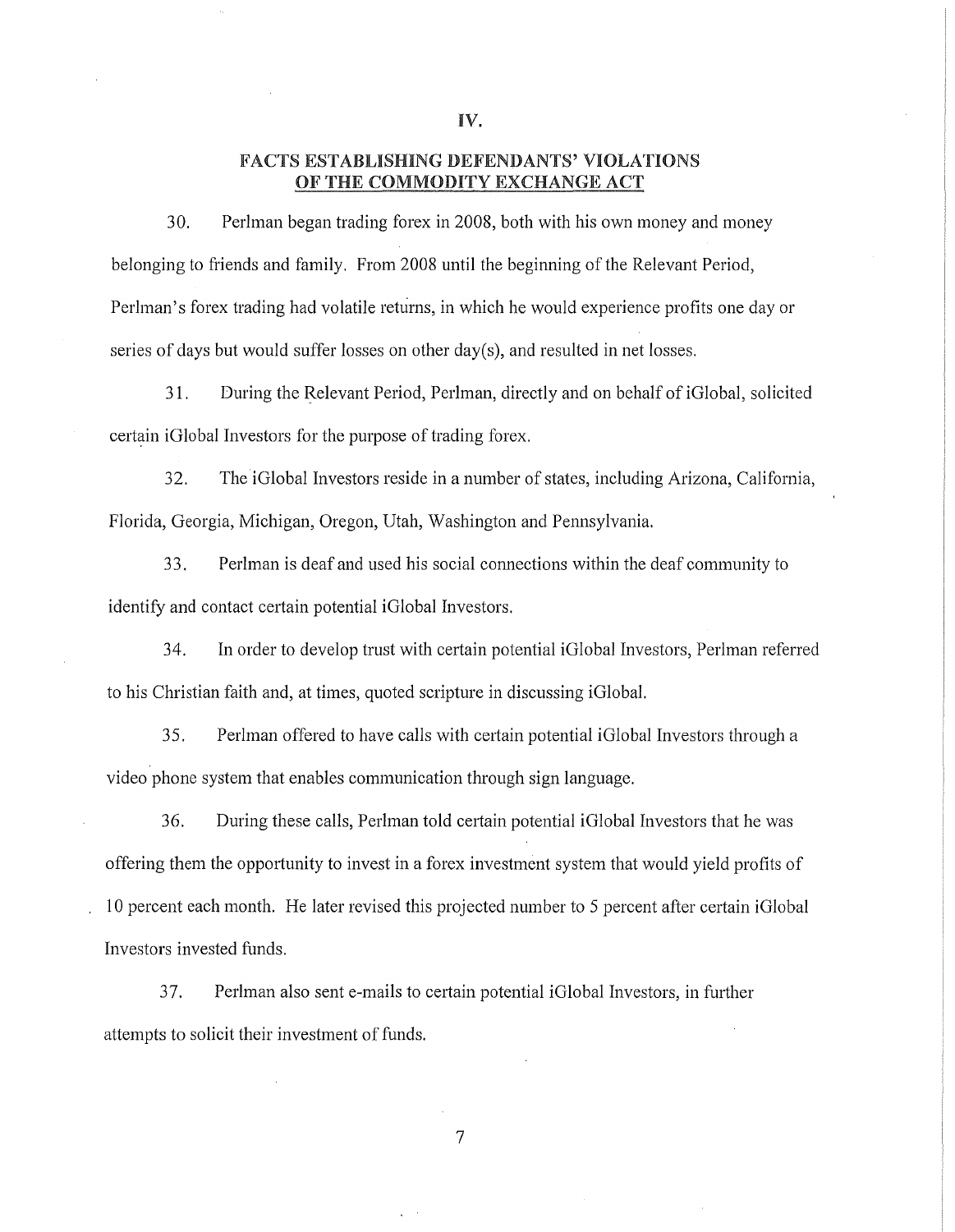#### FACTS ESTABLISHING DEFENDANTS' VIOLATIONS OF THE COMMODITY EXCHANGE ACT

30. Perlman began trading forex in 2008, both with his own money and money belonging to friends and family. From 2008 until the beginning of the Relevant Period, Perlman's forex trading had volatile returns, in which he would experience profits one day or series of days but would suffer losses on other day(s), and resulted in net losses.

31. During the Relevant Period, Perlman, directly and on behalf of iGlobal, solicited certain iGlobal Investors for the purpose of trading forex.

32. The iGlobal Investors reside in a number of states, including Arizona, California, Florida, Georgia, Michigan, Oregon, Utah, Washington and Pennsylvania.

33. Perlman is deaf and used his social connections within the deaf community to identify and contact certain potential iGlobal Investors.

34. In order to develop trust with certain potential iGlobal Investors, Perlman referred to his Christian faith and, at times, quoted scripture in discussing iGlobal.

35. Perlman offered to have calls with cetiain potential iGlobal Investors through a video phone system that enables communication through sign language.

36. During these calls, Perlman told certain potential iGlobal Investors that he was offering them the opportunity to invest in a forex investment system that would yield profits of 10 percent each month. He later revised this projected number to 5 percent after certain iGlobal Investors invested funds.

7

37. Perlman also sent e-mails to certain potential iGlobal Investors, in further attempts to solicit their investment of funds.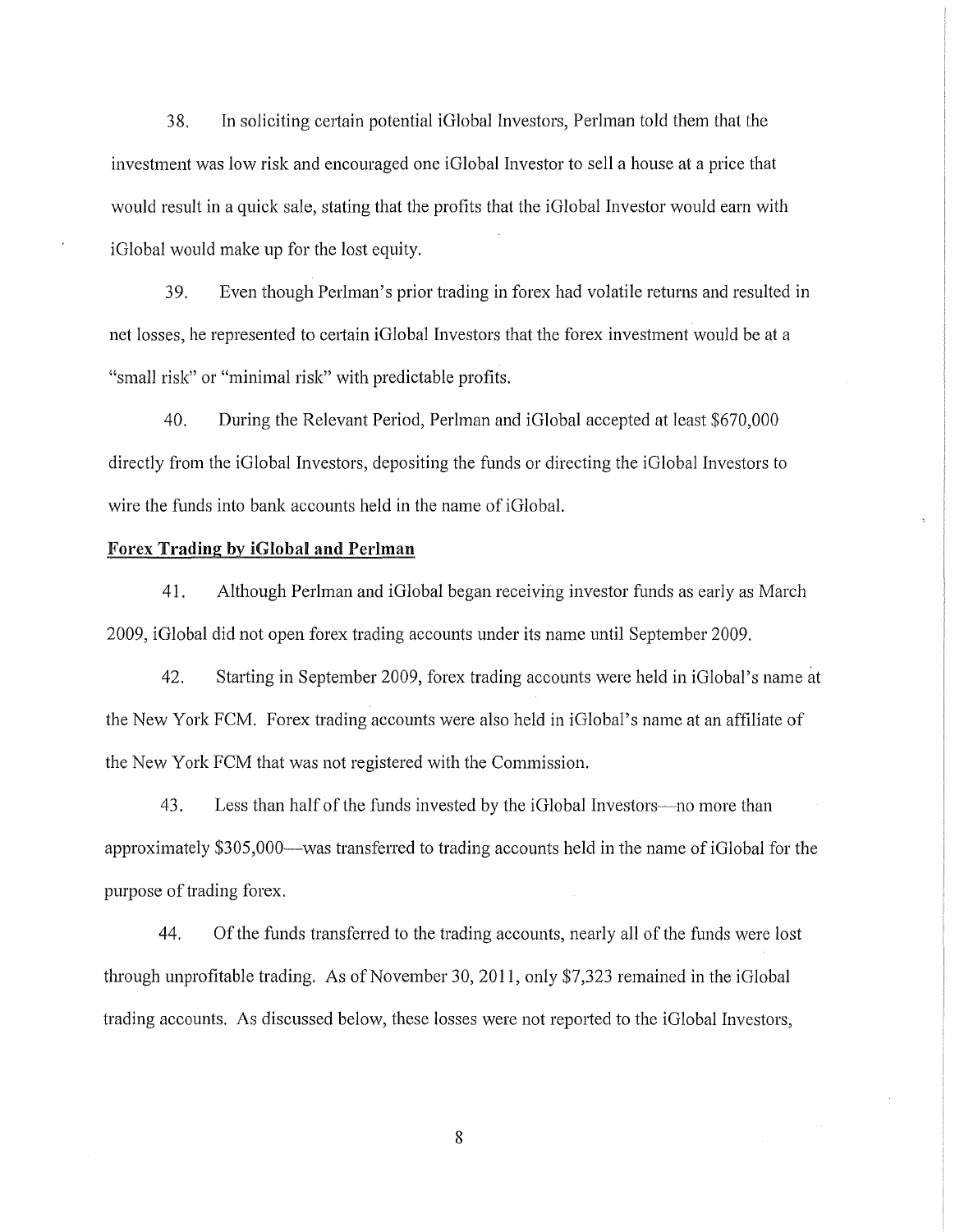38. In soliciting certain potential iGlobal Investors, Perlman told them that the investment was low risk and encouraged one iGlobal Investor to sell a house at a price that would result in a quick sale, stating that the profits that the iGlobal Investor would earn with iGlobal would make up for the lost equity.

39. Even though Perlman's prior trading in forex had volatile returns and resulted in net losses, he represented to cetiain iGlobal Investors that the forex investment would be at a "small risk" or "minimal risk" with predictable profits.

40. During the Relevant Period, Perlman and iGlobal accepted at least \$670,000 directly from the iGlobal Investors, depositing the funds or directing the iGlobal Investors to wire the funds into bank accounts held in the name of iGlobal.

#### Forex Trading by iGlobal and Perlman

41. Although Perlman and iGlobal began receiving investor funds as early as March 2009, iGlobal did not open forex trading accounts under its name until September 2009.

42. Starting in September 2009, forex trading accounts were held in iGlobal's name at the New York FCM. Forex trading accounts were also held in iGlobal's name at an affiliate of the New York FCM that was not registered with the Commission.

43. Less than half of the funds invested by the iGlobal Investors-no more than approximately \$305,000-was transferred to trading accounts held in the name of iGlobal for the purpose of trading forex.

44. Ofthe funds transferred to the trading accounts, nearly all of the funds were lost through unprofitable trading. As of November 30, 2011, only \$7,323 remained in the iGlobal trading accounts. As discussed below, these losses were not reported to the iGlobal Investors,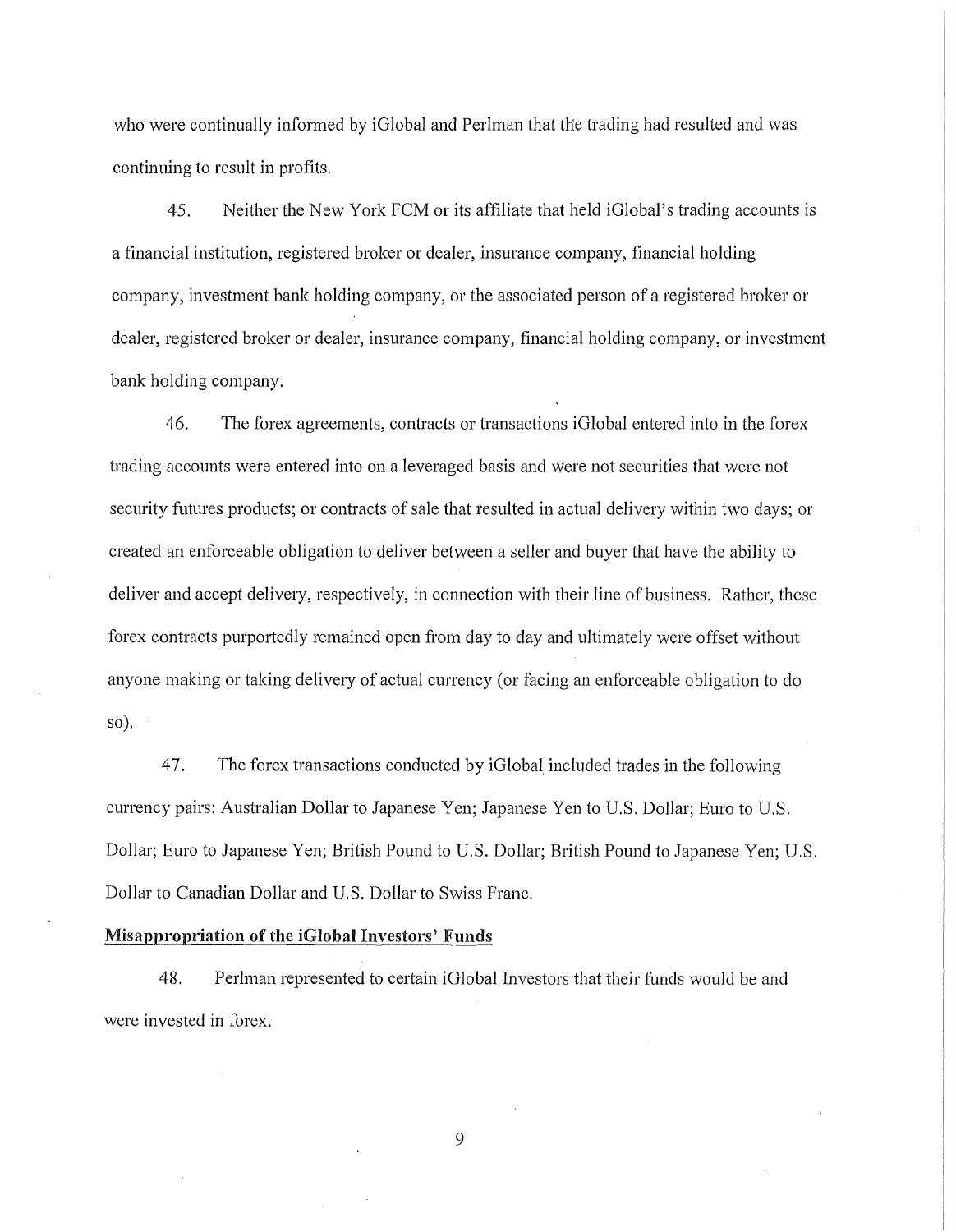who were continually informed by iGlobal and Perlman that the trading had resulted and was continuing to result in profits.

45. Neither the New York FCM or its affiliate that held iGlobal's trading accounts is a financial institution, registered broker or dealer, insurance company, financial holding company, investment bank holding company, or the associated person of a registered broker or dealer, registered broker or dealer, insurance company, financial holding company, or investment bank holding company.

46. The forex agreements, contracts or transactions iGlobal entered into in the forex trading accounts were entered into on a leveraged basis and were not securities that were not security futures products; or contracts of sale that resulted in actual delivery within two days; or created an enforceable obligation to deliver between a seller and buyer that have the ability to deliver and accept delivery, respectively, in connection with their line of business. Rather, these forex contracts purportedly remained open from day to day and ultimately were offset without anyone making or taking delivery of actual currency (or facing an enforceable obligation to do  $\{so\}$ .

47. The forex transactions conducted by iGlobal included trades in the following currency pairs: Australian Dollar to Japanese Yen; Japanese Yen to U.S. Dollar; Euro to U.S. Dollar; Euro to Japanese Yen; British Pound to U.S. Dollar; British Pound to Japanese Yen; U.S. Dollar to Canadian Dollar and U.S. Dollar to Swiss Franc.

#### Misappropriation of the iGiobal Investors' Funds

48. Perlman represented to certain iGlobal Investors that their funds would be and were invested in forex.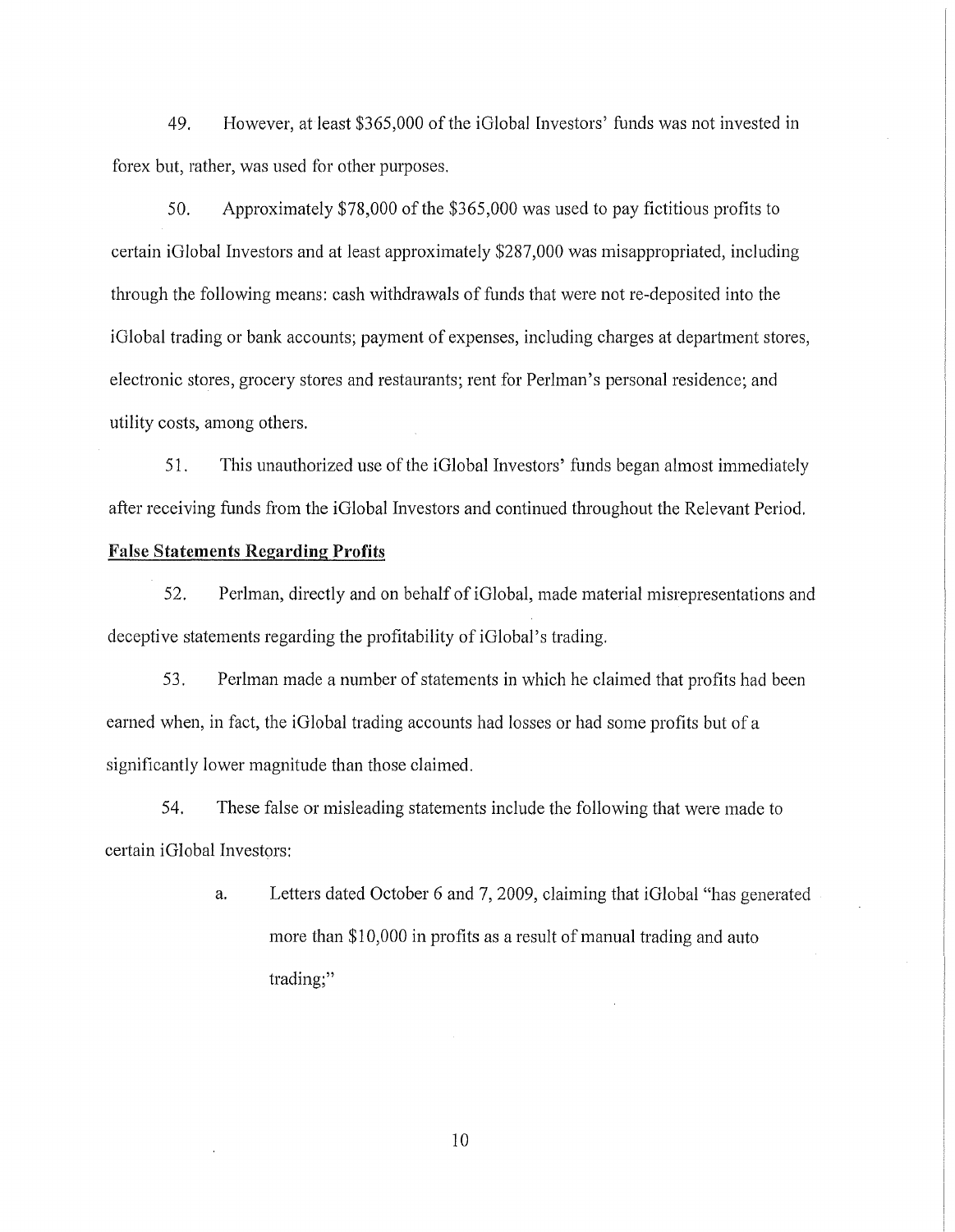49. However, at least \$365,000 of the iGlobal Investors' funds was not invested in forex but, rather, was used for other purposes.

50. Approximately \$78,000 of the \$365,000 was used to pay fictitious profits to certain iGlobal Investors and at least approximately \$287,000 was misappropriated, including through the following means: cash withdrawals of funds that were not re-deposited into the iGlobal trading or bank accounts; payment of expenses, including charges at department stores, electronic stores, grocery stores and restaurants; rent for Perlman's personal residence; and utility costs, among others.

51. This unauthorized use of the iGlobal Investors' funds began almost immediately after receiving funds from the iGlobal Investors and continued throughout the Relevant Period.

## False Statements Regarding Profits

52. Perlman, directly and on behalf of iGlobal, made material misrepresentations and deceptive statements regarding the profitability of iGlobal's trading.

53. Perlman made a number of statements in which he claimed that profits had been earned when, in fact, the iGlobal trading accounts had losses or had some profits but of a significantly lower magnitude than those claimed.

54. These false or misleading statements include the following that were made to certain iGlobal Investors:

> a. Letters dated October 6 and 7, 2009, claiming that iGlobal "has generated more than \$10,000 in profits as a result of manual trading and auto trading;"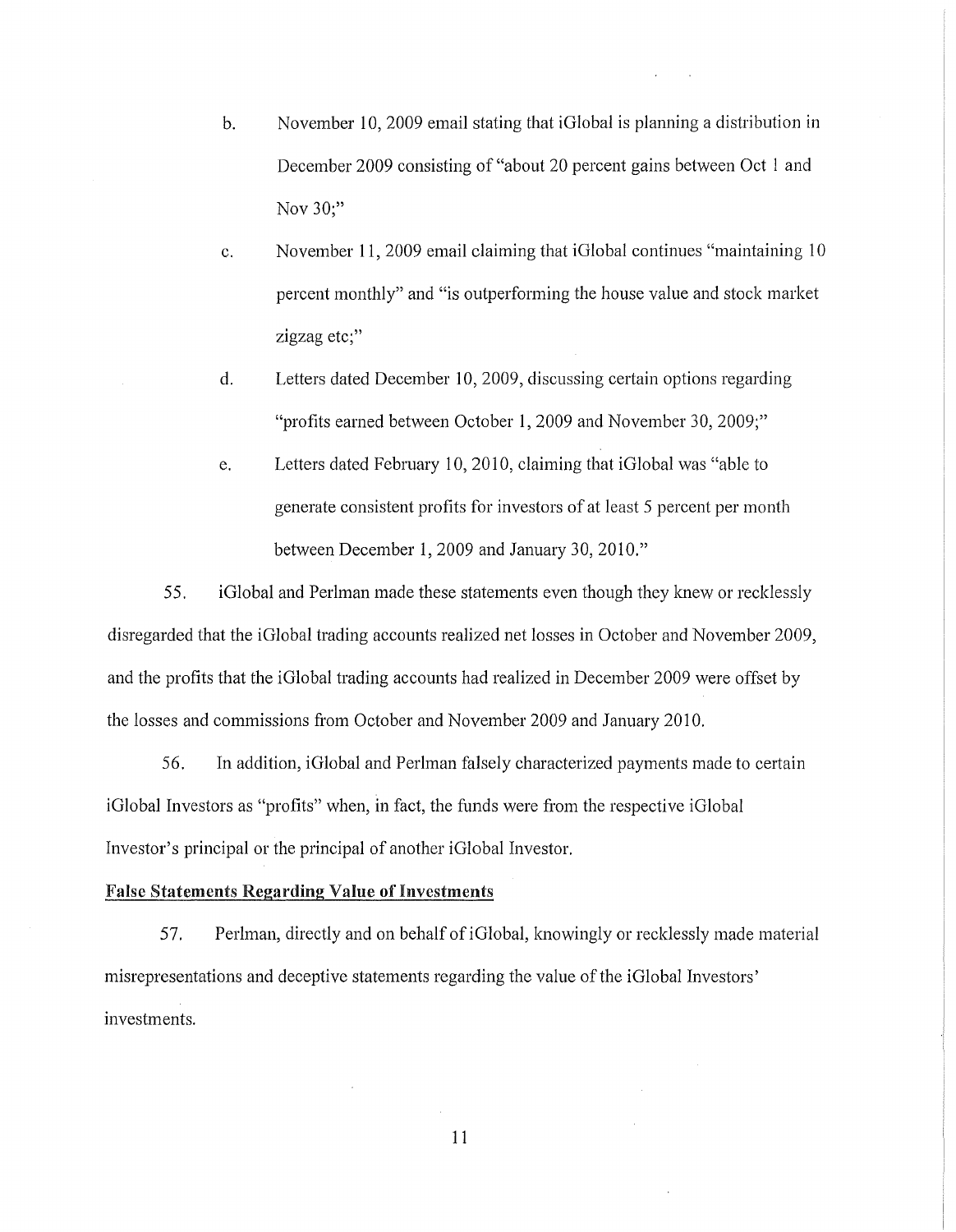- b. November 10,2009 email stating that iGlobal is planning a distribution in December 2009 consisting of "about 20 percent gains between Oct 1 and Nov 30;"
- c. November **11,** 2009 email claiming that iG!obal continues "maintaining 10 percent monthly" and "is outperforming the house value and stock market zigzag etc;"
- d. Letters dated December 10, 2009, discussing certain options regarding "profits earned between October **1,** 2009 and November 30, 2009;"
- e. Letters dated February 10, 2010, claiming that iGlobal was "able to generate consistent profits for investors of at least 5 percent per month between December 1, 2009 and January 30, 2010."

55. iGlobal and Perlman made these statements even though they knew or recklessly disregarded that the iGlobal trading accounts realized net losses in October and November 2009, and the profits that the iGlobal trading accounts had realized in December 2009 were offset by the losses and commissions from October and November 2009 and January 2010.

56. In addition, iGlobal and Perlman falsely characterized payments made to certain iGlobal Investors as "profits" when, in fact, the funds were from the respective iGlobal Investor's principal or the principal of another iGlobal Investor.

## False Statements Regarding Value of Investments

57. Perlman, directly and on behalf of iGlobal, knowingly or recklessly made material misrepresentations and deceptive statements regarding the value of the iGlobal Investors' investments.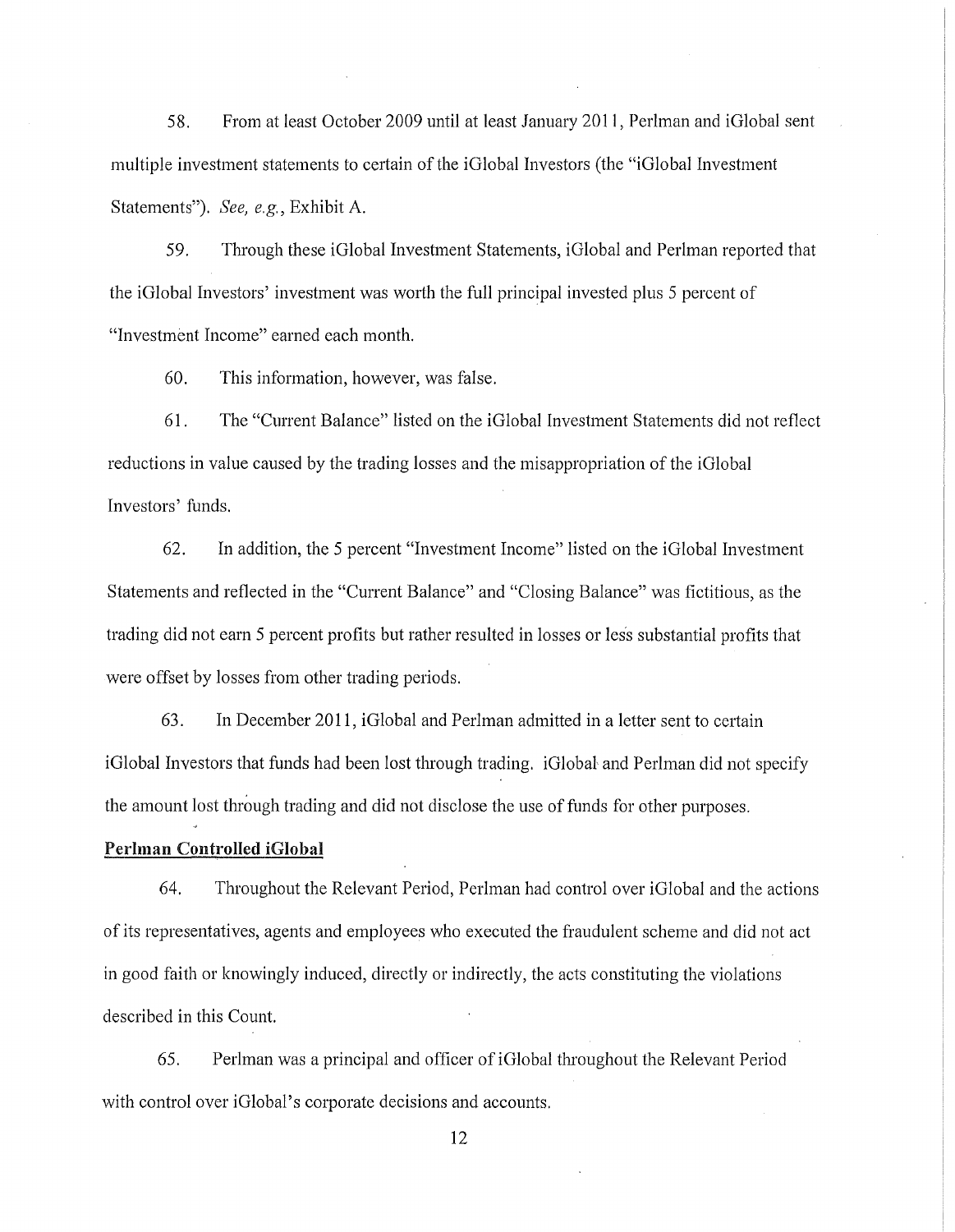58. From at least October 2009 until at least January 2011, Perlman and iGlobal sent multiple investment statements to certain of the iGlobal Investors (the "iGlobal Investment Statements"). *See, e.g.,* Exhibit A.

59. Through these iGlobal Investment Statements, iGlobal and Perlman reported that the iGlobal Investors' investment was worth the full principal invested plus 5 percent of "Investment Income" earned each month.

60. This information, however, was false.

61. The "Current Balance" listed on the iGlobal Investment Statements did not reflect reductions in value caused by the trading losses and the misappropriation of the iGlobal Investors' funds.

62. In addition, the 5 percent "Investment Income" listed on the iGlobal Investment Statements and reflected in the "Current Balance" and "Closing Balance" was fictitious, as the trading did not earn 5 percent profits but rather resulted in losses or less substantial profits that were offset by losses from other trading periods.

63. In December 2011, iGlobal and Perlman admitted in a letter sent to certain iGlobal Investors that funds had been lost through trading. iGlobal, and Perlman did not specify the amount lost through trading and did not disclose the use of funds for other purposes.

#### Perlman Controlled iGiobal

64. Throughout the Relevant Period, Perlman had control over iGlobal and the actions of its representatives, agents and employees who executed the fraudulent scheme and did not act in good faith or knowingly induced, directly or indirectly, the acts constituting the violations described in this Count.

65. Perlman was a principal and officer ofiGlobal throughout the Relevant Period with control over iGlobal's corporate decisions and accounts.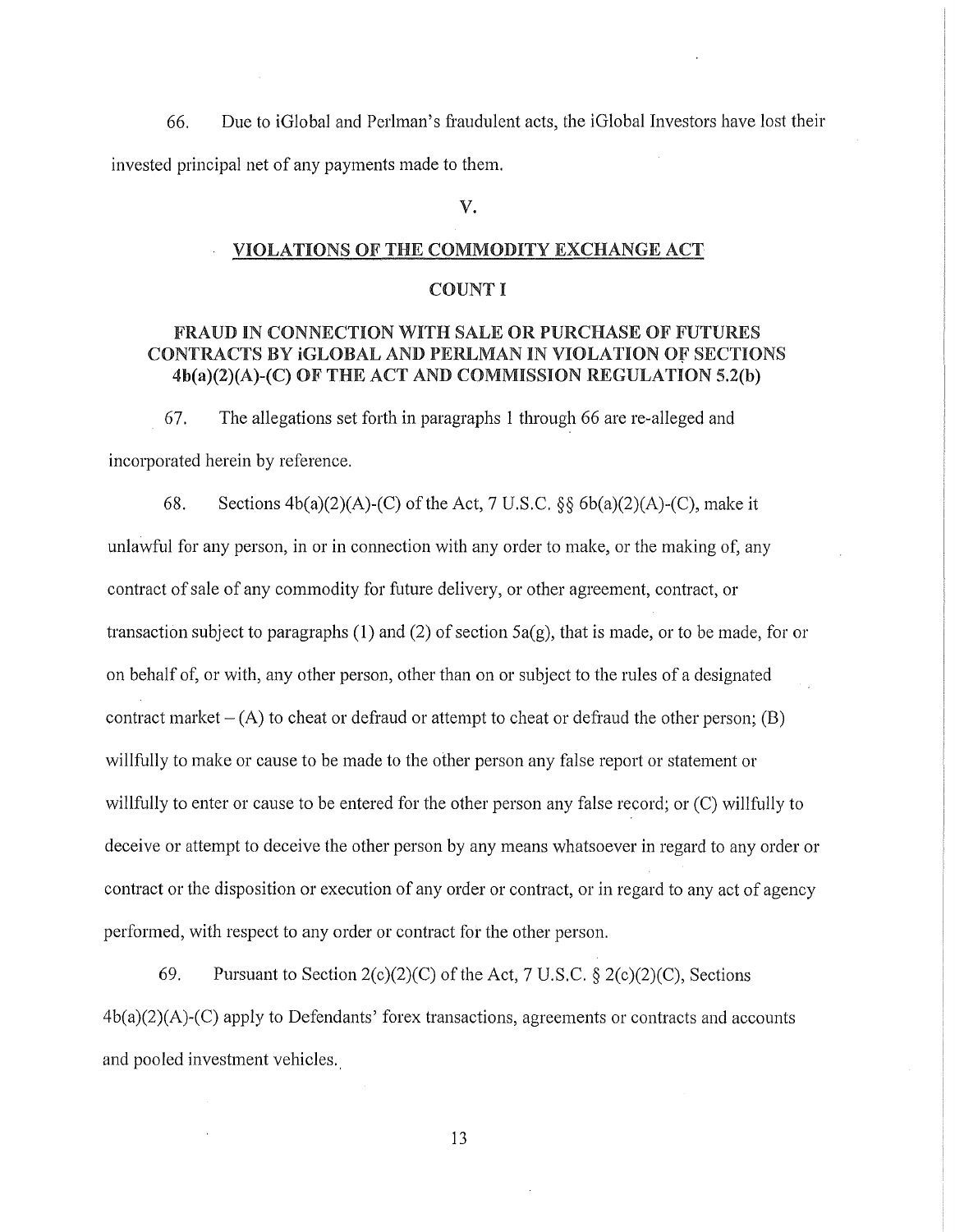66. Due to iGlobal and Perlman's fraudulent acts, the iGlobal Investors have lost their invested principal net of any payments made to them.

## v.

#### VIOLATIONS OF THE COMMODITY EXCHANGE ACT

#### COUNT I

## FRAUD IN CONNECTION WITH SALE OR PURCHASE OF FUTURES CONTRACTS BY IGLOBAL AND PERLMAN IN VIOLATION OF SECTIONS 4b(a)(2)(A)-(C) OF THE ACT AND COMMISSION REGULATION 5.2(b)

67. The allegations set forth in paragraphs 1 through 66 are re-alleged and incorporated herein by reference.

68. Sections  $4b(a)(2)(A)-(C)$  of the Act, 7 U.S.C. §§  $6b(a)(2)(A)-(C)$ , make it unlawful for any person, in or in connection with any order to make, or the making of, any contract of sale of any commodity for future delivery, or other agreement, contract, or transaction subject to paragraphs (1) and (2) of section  $5a(g)$ , that is made, or to be made, for or on behalf of, or with, any other person, other than on or subject to the rules of a designated contract market  $- (A)$  to cheat or defraud or attempt to cheat or defraud the other person; (B) willfully to make or cause to be made to the other person any false report or statement or willfully to enter or cause to be entered for the other person any false record; or (C) willfully to deceive or attempt to deceive the other person by any means whatsoever in regard to any order or contract or the disposition or execution of any order or contract, or in regard to any act of agency performed, with respect to any order or contract for the other person.

69. Pursuant to Section  $2(c)(2)(C)$  of the Act, 7 U.S.C. §  $2(c)(2)(C)$ , Sections  $4b(a)(2)(A)-(C)$  apply to Defendants' forex transactions, agreements or contracts and accounts and pooled investment vehicles.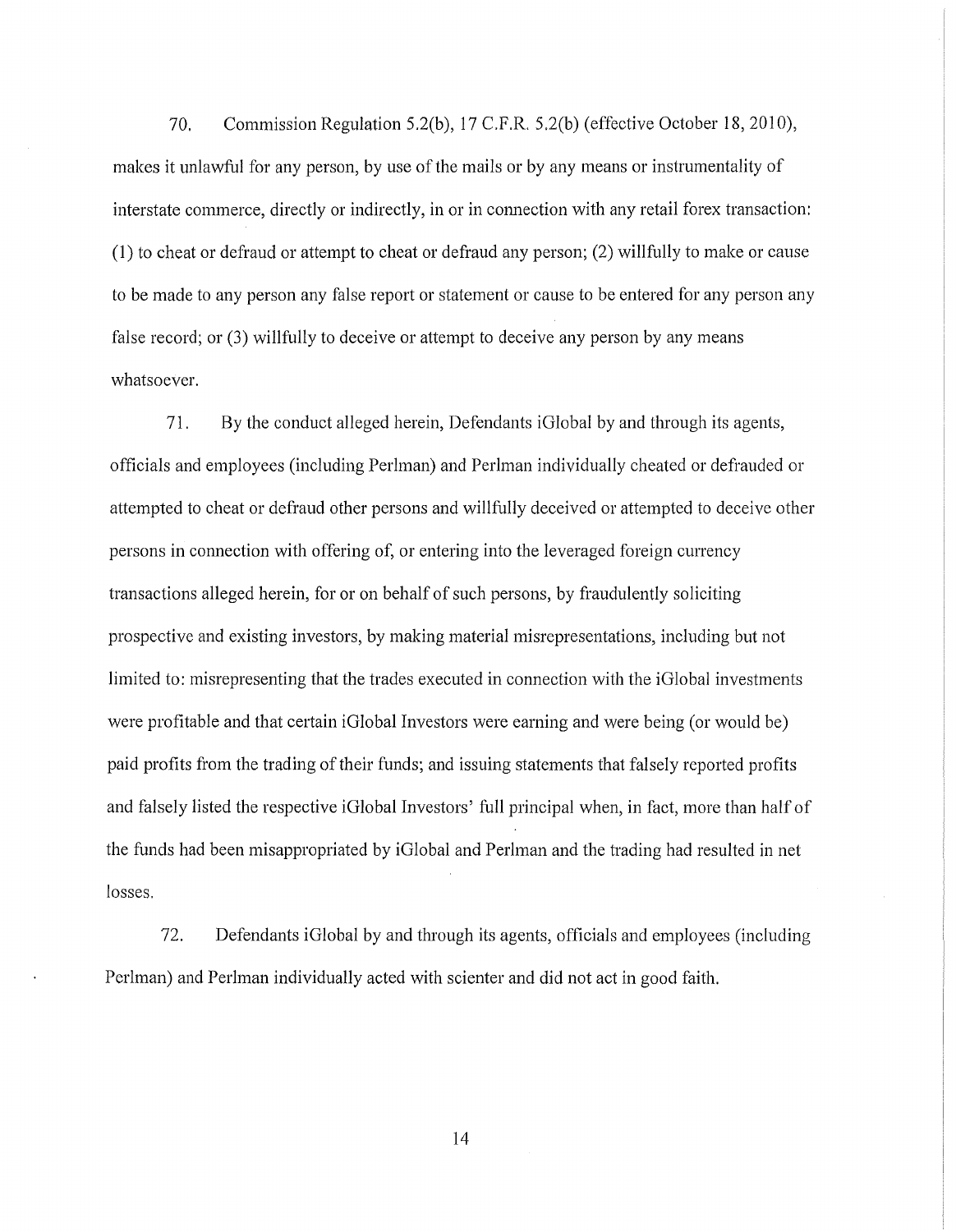70. Commission Regulation 5.2(b), 17 C.F.R. 5.2(b) (effective October 18, 2010), makes it unlawful for any person, by use of the mails or by any means or instrumentality of interstate commerce, directly or indirectly, in or in connection with any retail forex transaction: (1) to cheat or defraud or attempt to cheat or defraud any person; (2) willfully to make or cause to be made to any person any false report or statement or cause to be entered for any person any false record; or (3) willfully to deceive or attempt to deceive any person by any means whatsoever.

71. By the conduct alleged herein, Defendants iGlobal by and through its agents, officials and employees (including Perlman) and Perlman individually cheated or defrauded or attempted to cheat or defraud other persons and willfully deceived or attempted to deceive other persons in connection with offering of, or entering into the leveraged foreign currency transactions alleged herein, for or on behalf of such persons, by fraudulently soliciting prospective and existing investors, by making material misrepresentations, including but not limited to: misrepresenting that the trades executed in connection with the iGlobal investments were profitable and that certain iGlobal Investors were earning and were being (or would be) paid profits from the trading of their funds; and issuing statements that falsely reported profits and falsely listed the respective iGlobal Investors' full principal when, in fact, more than half of the funds had been misappropriated by iGlobal and Perlman and the trading had resulted in net losses.

72. Defendants iGlobal by and through its agents, officials and employees (including Perlman) and Perlman individually acted with scienter and did not act in good faith.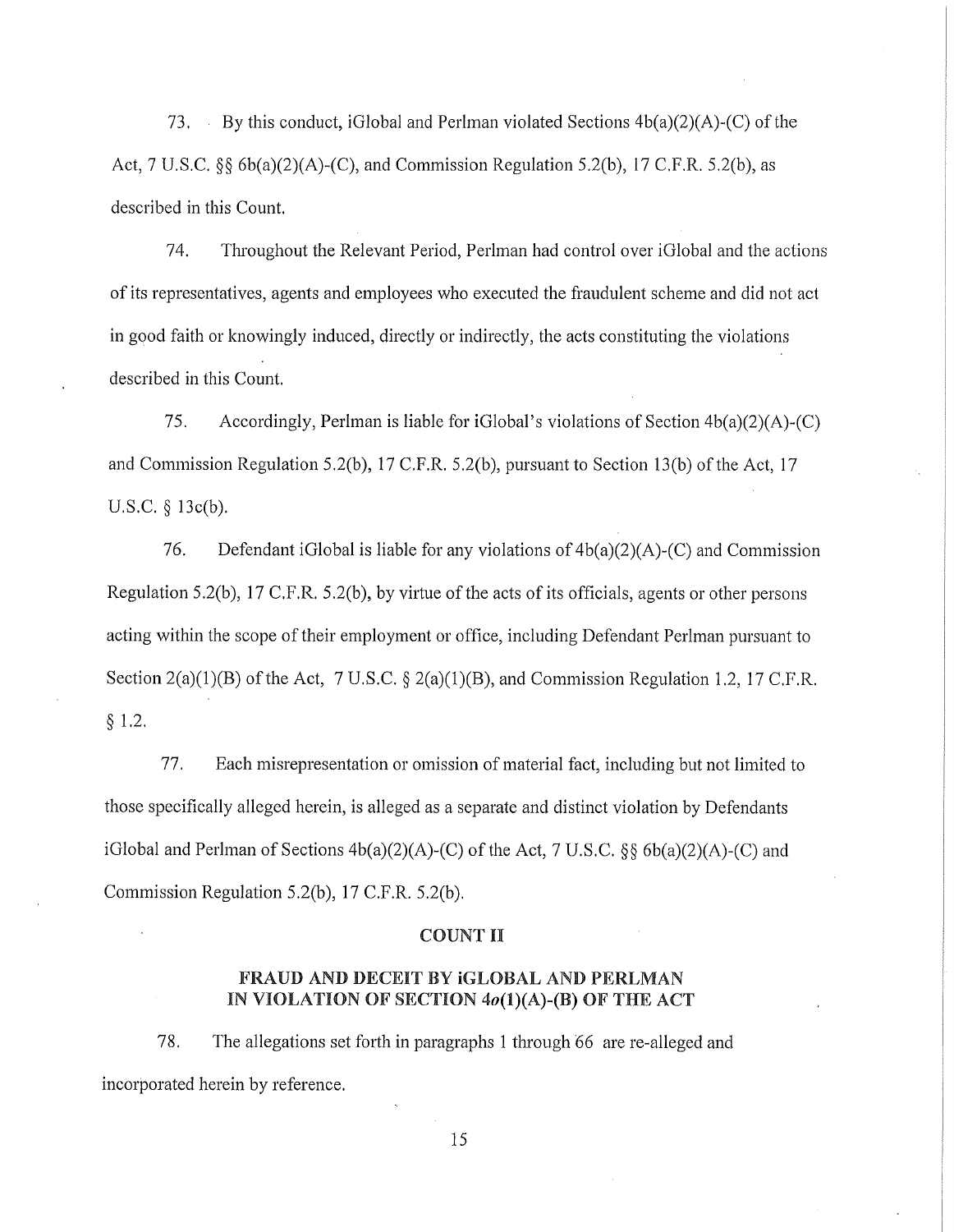73. By this conduct, iGlobal and Perlman violated Sections  $4b(a)(2)(A)-(C)$  of the Act, 7 U.S.C. *§§* 6b(a)(2)(A)-(C), and Commission Regulation 5.2(b), 17 C.F.R. 5.2(b), as described in this Count.

74. Throughout the Relevant Period, Perlman had control over iGlobal and the actions of its representatives, agents and employees who executed the fraudulent scheme and did not act in good faith or knowingly induced, directly or indirectly, the acts constituting the violations described in this Count.

75. Accordingly, Perlman is liable for iGlobal's violations of Section  $4b(a)(2)(A)-(C)$ and Commission Regulation 5.2(b), 17 C.F.R. 5.2(b), pursuant to Section 13(b) of the Act, 17 U.S.C. *§* 13c(b).

76. Defendant iGlobal is liable for any violations of  $4b(a)(2)(A)-(C)$  and Commission Regulation 5.2(b), 17 C.F.R. 5.2(b), by virtue of the acts of its officials, agents or other persons acting within the scope of their employment or office, including Defendant Perlman pursuant to Section  $2(a)(1)(B)$  of the Act, 7 U.S.C.  $\S 2(a)(1)(B)$ , and Commission Regulation 1.2, 17 C.F.R. § 1.2.

77. Each misrepresentation or omission of material fact, including but not limited to those specifically alleged herein, is alleged as a separate and distinct violation by Defendants iGlobal and Perlman of Sections 4b(a)(2)(A)-(C) of the Act, 7 U.S.C. *§§* 6b(a)(2)(A)-(C) and Commission Regulation 5.2(b), 17 C.F.R. 5.2(b).

#### COUNT II

## FRAUD AND DECEIT BY iGLOBAL AND PERLMAN IN VIOLATION OF SECTION  $4o(1)(A)$ -(B) OF THE ACT

78. The allegations set forth in paragraphs 1 through 66 are re-alleged and incorporated herein by reference.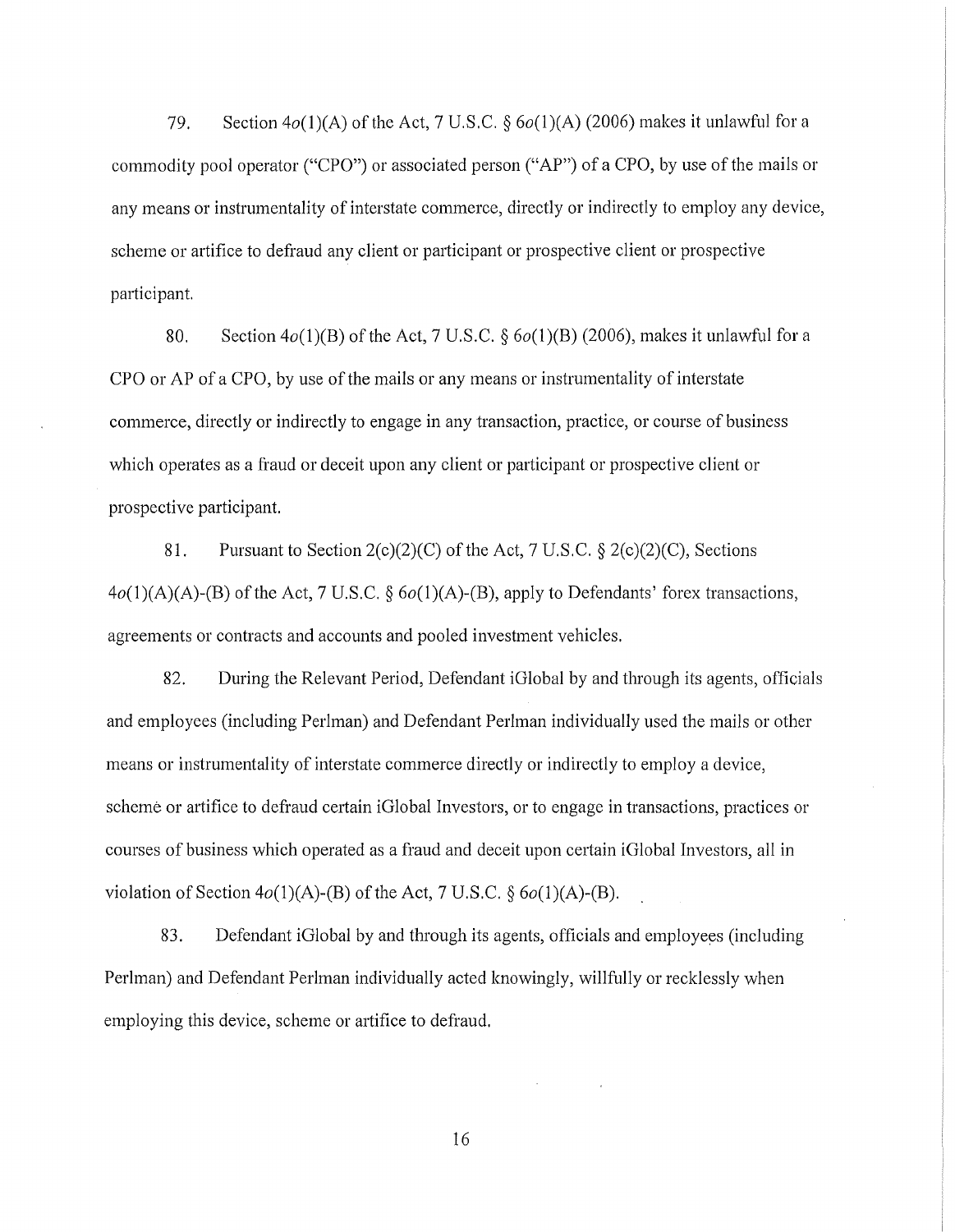79. Section  $4o(1)(A)$  of the Act, 7 U.S.C. §  $6o(1)(A)$  (2006) makes it unlawful for a commodity pool operator ("CPO") or associated person ("AP") of a CPO, by use of the mails or any means or instrumentality of interstate commerce, directly or indirectly to employ any device, scheme or artifice to defraud any client or participant or prospective client or prospective participant.

80. Section  $4o(1)(B)$  of the Act, 7 U.S.C.  $\S 6o(1)(B)$  (2006), makes it unlawful for a CPO or AP of a CPO, by use of the mails or any means or instrumentality of interstate commerce, directly or indirectly to engage in any transaction, practice, or course of business which operates as a fraud or deceit upon any client or participant or prospective client or prospective participant.

81. Pursuant to Section  $2(c)(2)(C)$  of the Act, 7 U.S.C. §  $2(c)(2)(C)$ , Sections 4o(l)(A)(A)-(B) of the Act, 7 U.S.C. *§* 6o(l)(A)-(B), apply to Defendants' forex transactions, agreements or contracts and accounts and pooled investment vehicles.

82. During the Relevant Period, Defendant iGlobal by and through its agents, officials and employees (including Perlman) and Defendant Perlman individually used the mails or other means or instrumentality of interstate commerce directly or indirectly to employ a device, scheme or artifice to defraud certain iGlobal Investors, or to engage in transactions, practices or courses of business which operated as a fraud and deceit upon certain iGlobal Investors, all in violation of Section  $4o(1)(A)$ -(B) of the Act, 7 U.S.C.  $\S$   $6o(1)(A)$ -(B).

83. Defendant iGlobal by and through its agents, officials and employees (including Perlman) and Defendant Perlman individually acted knowingly, willfully or recklessly when employing this device, scheme or artifice to defraud.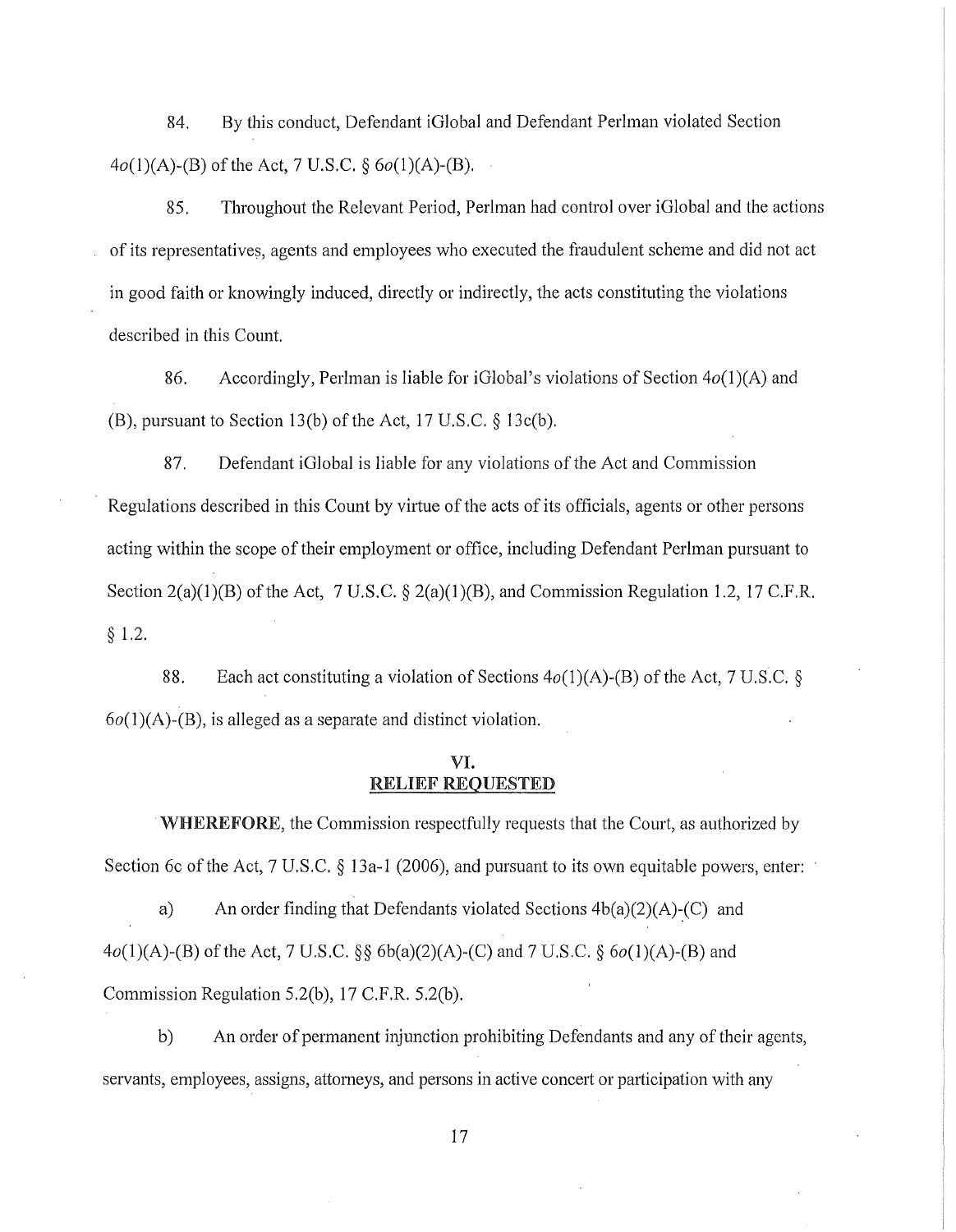84. By this conduct, Defendant iGlobal and Defendant Perlman violated Section  $4o(1)(A)$ -(B) of the Act, 7 U.S.C. §  $6o(1)(A)$ -(B).

85. Throughout the Relevant Period, Perlman had control over iGlobal and the actions of its representatives, agents and employees who executed the fraudulent scheme and did not act in good faith or knowingly induced, directly or indirectly, the acts constituting the violations described in this Count.

86. Accordingly, Perlman is liable for iGlobal 's violations of Section *4o(1* )(A) and (B), pursuant to Section 13(b) of the Act, 17 U.S.C. § 13c(b).

87. Defendant iGlobal is liable for any violations of the Act and Commission Regulations described in this Count by virtue of the acts of its officials, agents or other persons acting within the scope of their employment or office, including Defendant Perlman pursuant to Section  $2(a)(1)(B)$  of the Act, 7 U.S.C. §  $2(a)(1)(B)$ , and Commission Regulation 1.2, 17 C.F.R. § 1.2.

88. Each act constituting a violation of Sections  $4o(1)(A)$ -(B) of the Act, 7 U.S.C. §  $6o(1)(A)$ -(B), is alleged as a separate and distinct violation.

## VI. RELIEF REQUESTED

WHEREFORE, the Commission respectfully requests that the Court, as authorized by Section 6c of the Act, 7 U.S.C. § 13a-1 (2006), and pursuant to its own equitable powers, enter:

a) An order finding that Defendants violated Sections  $4b(a)(2)(A)-(C)$  and  $4o(1)(A)-(B)$  of the Act, 7 U.S.C. §§ 6b(a)(2)(A)-(C) and 7 U.S.C. § 6o(1)(A)-(B) and Commission Regulation 5.2(b), 17 C.F.R. 5.2(b).

b) An order of permanent injunction prohibiting Defendants and any of their agents, servants, employees, assigns, attorneys, and persons in active concert or participation with any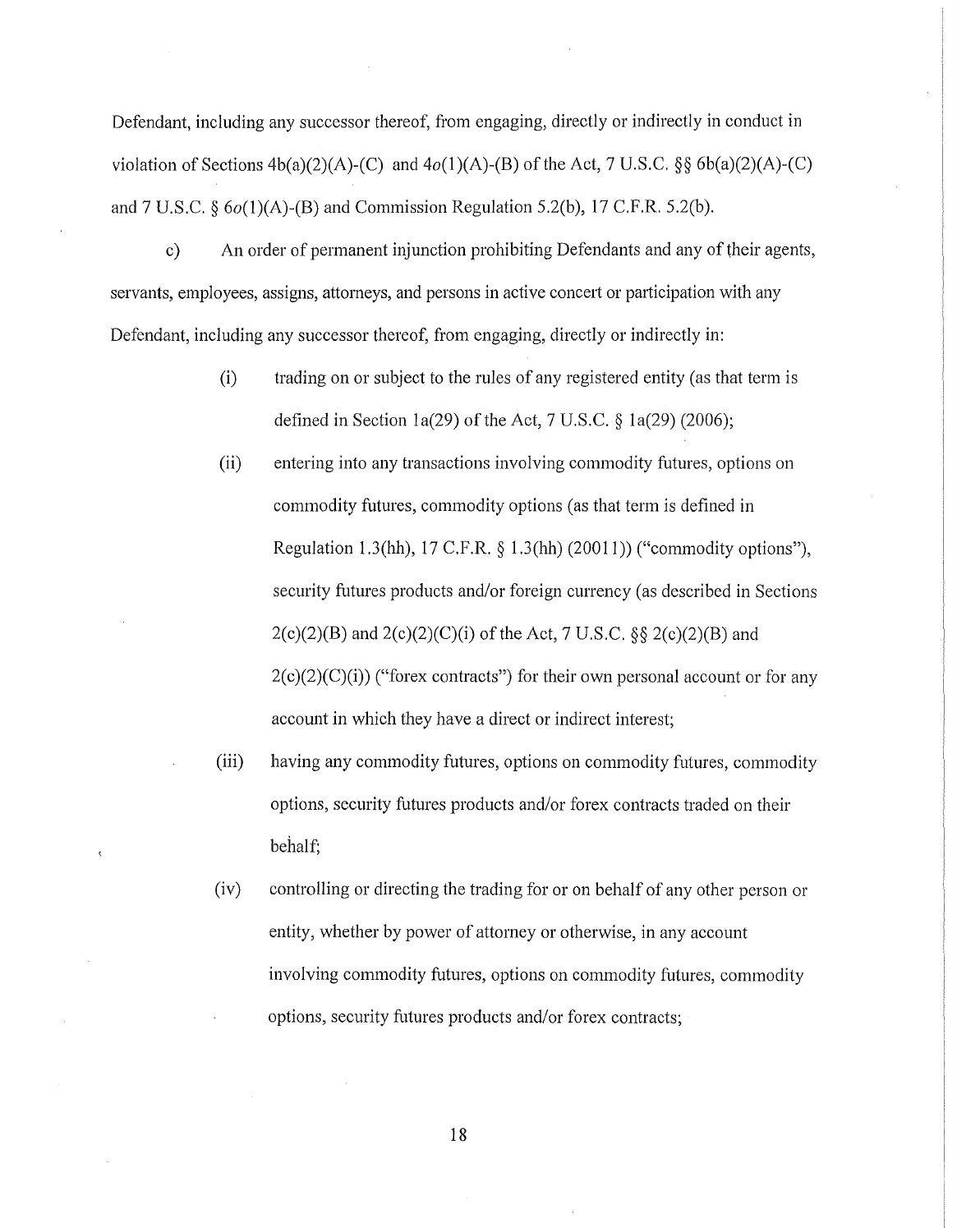Defendant, including any successor thereof, from engaging, directly or indirectly in conduct in violation of Sections  $4b(a)(2)(A)-(C)$  and  $4o(1)(A)-(B)$  of the Act, 7 U.S.C. §§ 6b(a)(2)(A)-(C) and  $7 \text{ U.S.C. }$   $66(1)(\text{A})$ -(B) and Commission Regulation 5.2(b), 17 C.F.R. 5.2(b).

c) An order of permanent injunction prohibiting Defendants and any of their agents, servants, employees, assigns, attorneys, and persons in active concert or participation with any Defendant, including any successor thereof, from engaging, directly or indirectly in:

- (i) trading on or subject to the rules of any registered entity (as that term is defined in Section 1a(29) of the Act, 7 U.S.C.  $\S$  1a(29) (2006);
- (ii) entering into any transactions involving commodity futures, options on commodity futures, commodity options (as that term is defined in Regulation 1.3(hh), 17 C.F.R.  $\S$  1.3(hh) (20011)) ("commodity options"), security futures products and/or foreign currency (as described in Sections  $2(c)(2)(B)$  and  $2(c)(2)(C)(i)$  of the Act, 7 U.S.C. §§  $2(c)(2)(B)$  and  $2(c)(2)(C)(i)$  ("forex contracts") for their own personal account or for any account in which they have a direct or indirect interest;
- (iii) having any commodity futures, options on commodity futures, commodity options, security futures products and/or forex contracts traded on their behalf;
- (iv) controlling or directing the trading for or on behalf of any other person or entity, whether by power of attorney or otherwise, in any account involving commodity futures, options on commodity futures, commodity options, security futures products and/or forex contracts;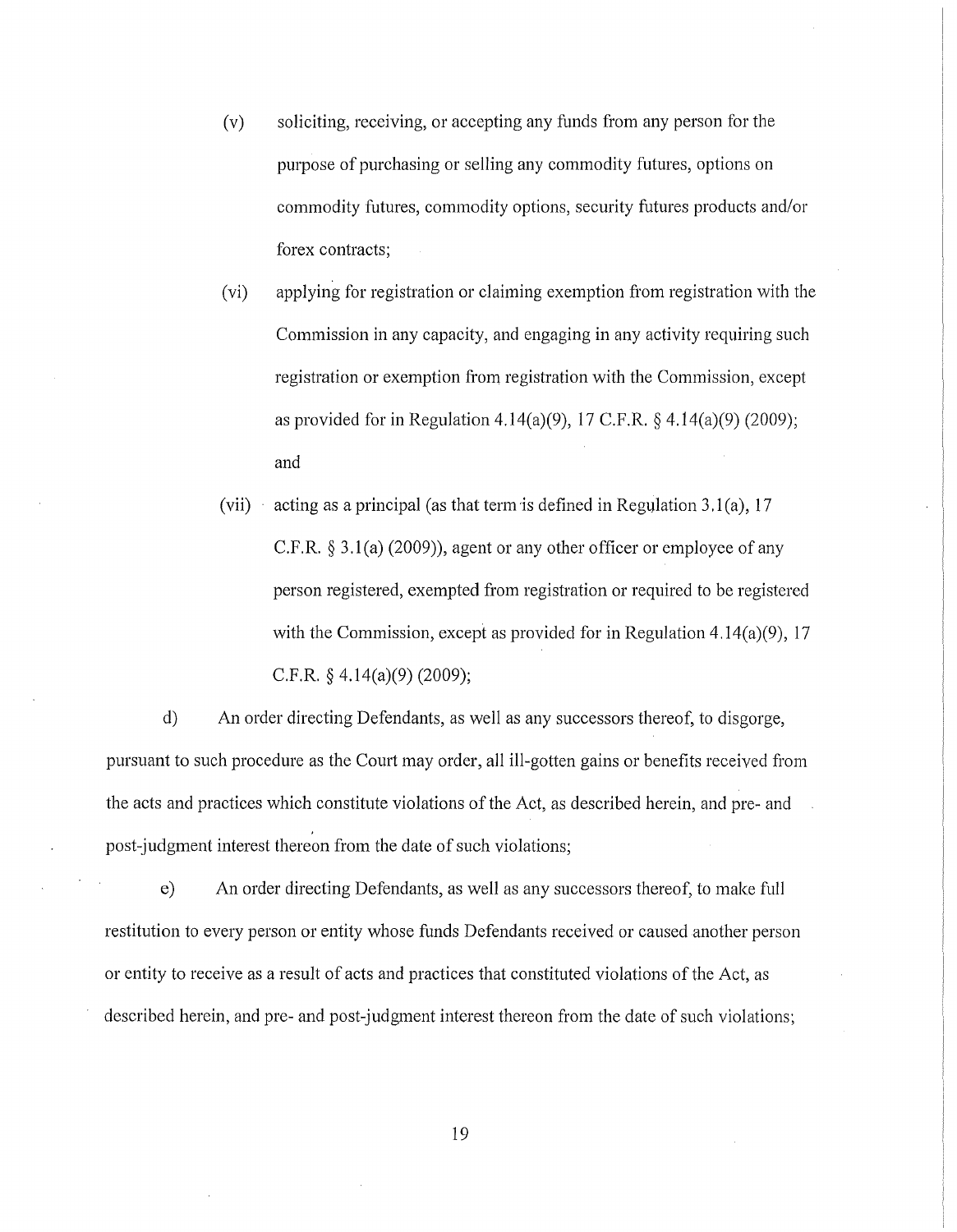(v) soliciting, receiving, or accepting any funds from any person for the purpose of purchasing or selling any commodity futures, options on commodity futures, commodity options, security futures products and/or forex contracts;

(vi) applying for registration or claiming exemption from registration with the Commission in any capacity, and engaging in any activity requiring such registration or exemption from registration with the Commission, except as provided for in Regulation 4.14(a)(9), 17 C.F.R. § 4.14(a)(9) (2009); and

(vii) acting as a principal (as that term is defined in Regulation 3.1(a), 17 C.F.R.  $\S 3.1(a)$  (2009)), agent or any other officer or employee of any person registered, exempted from registration or required to be registered with the Commission, except as provided for in Regulation 4.14(a)(9), 17 C.F.R.  $\frac{24.14(a)(9)}{2009}$ ;

d) An order directing Defendants, as well as any successors thereof, to disgorge, pursuant to such procedure as the Court may order, all ill-gotten gains or benefits received from the acts and practices which constitute violations of the Act, as described herein, and pre- and post-judgment interest thereon from the date of such violations;

e) An order directing Defendants, as well as any successors thereof, to make full restitution to every person or entity whose funds Defendants received or caused another person or entity to receive as a result of acts and practices that constituted violations of the Act, as described herein, and pre- and post-judgment interest thereon from the date of such violations;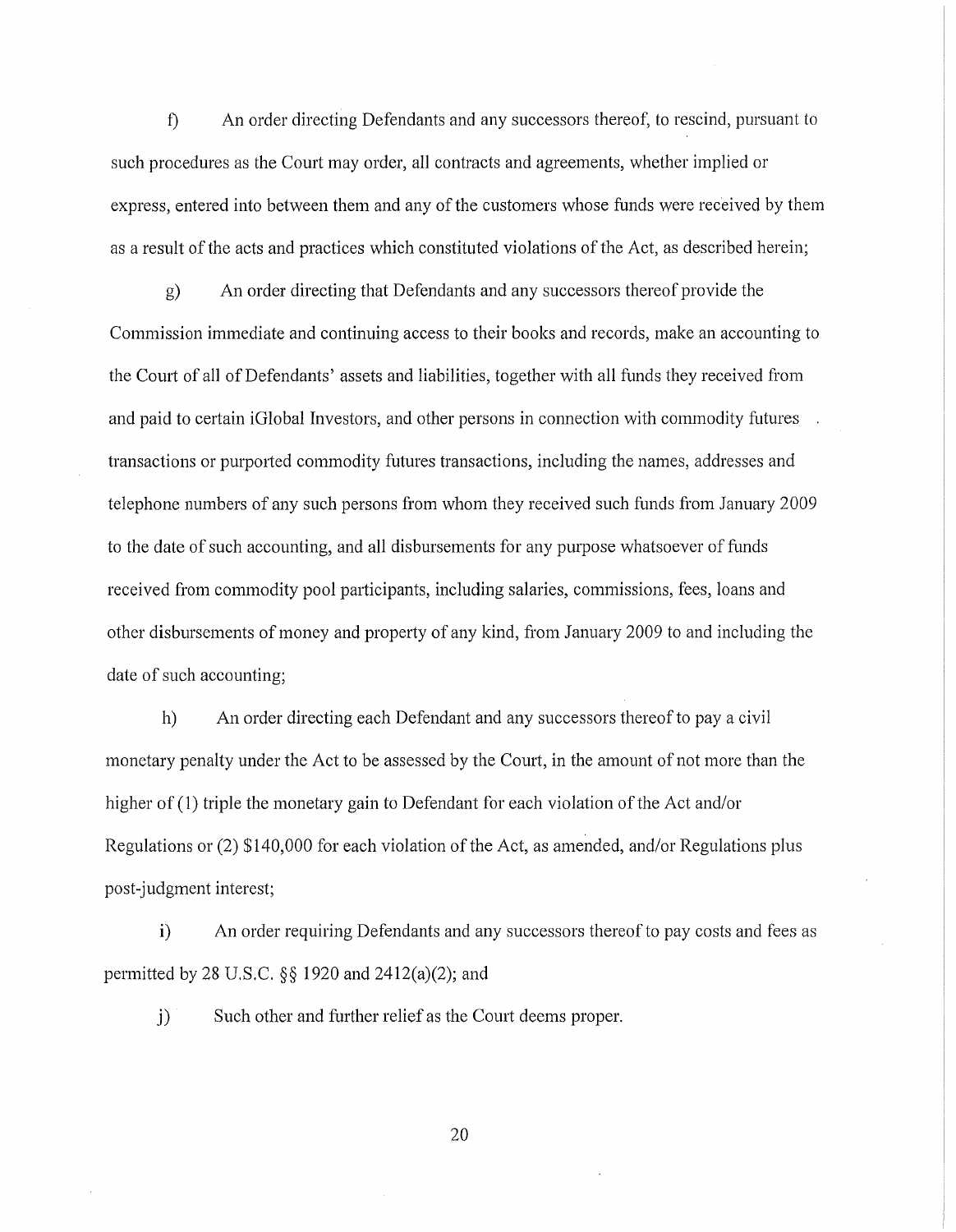f) An order directing Defendants and any successors thereof, to rescind, pursuant to such procedures as the Court may order, all contracts and agreements, whether implied or express, entered into between them and any of the customers whose funds were received by them as a result of the acts and practices which constituted violations of the Act, as described herein;

g) An order directing that Defendants and any successors thereof provide the Commission immediate and continuing access to their books and records, make an accounting to the Court of all of Defendants' assets and liabilities, together with all funds they received from and paid to certain iGlobal Investors, and other persons in connection with commodity futures transactions or purported commodity futures transactions, including the names, addresses and telephone numbers of any such persons from whom they received such funds from January 2009 to the date of such accounting, and all disbursements for any purpose whatsoever of funds received from commodity pool participants, including salaries, commissions, fees, loans and other disbursements of money and property of any kind, from January 2009 to and including the date of such accounting;

h) An order directing each Defendant and any successors thereof to pay a civil monetary penalty under the Act to be assessed by the Court, in the amount of not more than the higher of (1) triple the monetary gain to Defendant for each violation of the Act and/or Regulations or (2) \$140,000 for each violation of the Act, as amended, and/or Regulations plus post-judgment interest;

i) An order requiring Defendants and any successors thereof to pay costs and fees as permitted by 28 U.S.C. §§ 1920 and 2412(a)(2); and

j) Such other and further relief as the Court deems proper.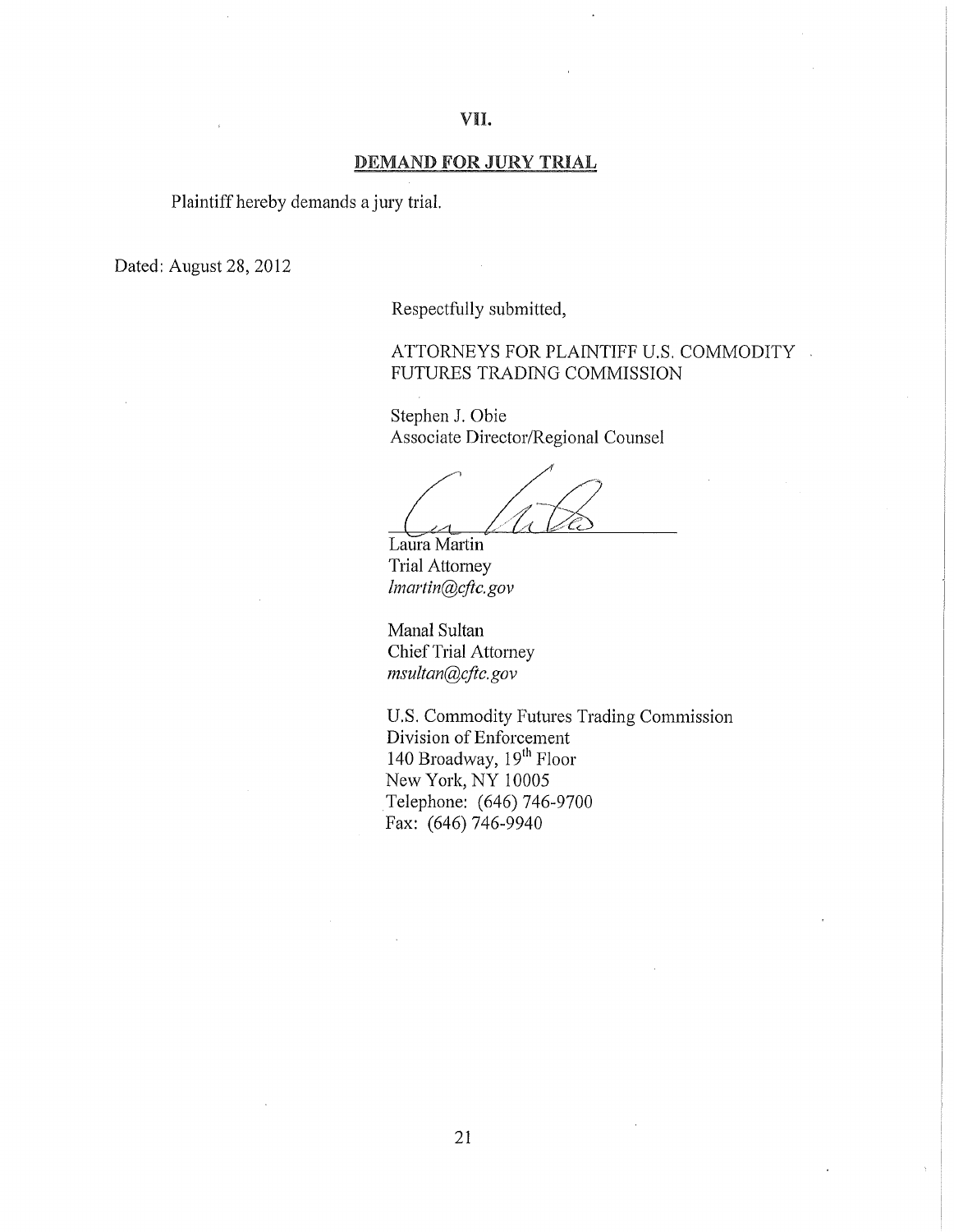#### DEMAND FOR JURY TRIAL

Plaintiff hereby demands a jury trial.

Dated: August 28, 2012

Respectfully submitted,

## ATTORNEYS FOR PLAINTIFF U.S. COMMODITY . FUTURES TRADING COMMISSION

Stephen J. Obie Associate Director/Regional Counsel

Laura Martin Trial Attorney *lmartin@cftc.gov* 

Manal Sultan Chief Trial Attorney *msultan@cftc. gov* 

U.S. Commodity Futures Trading Commission Division of Enforcement 140 Broadway,  $19<sup>th</sup>$  Floor New York, NY 10005 Telephone: (646) 746-9700 Fax: (646) 746-9940